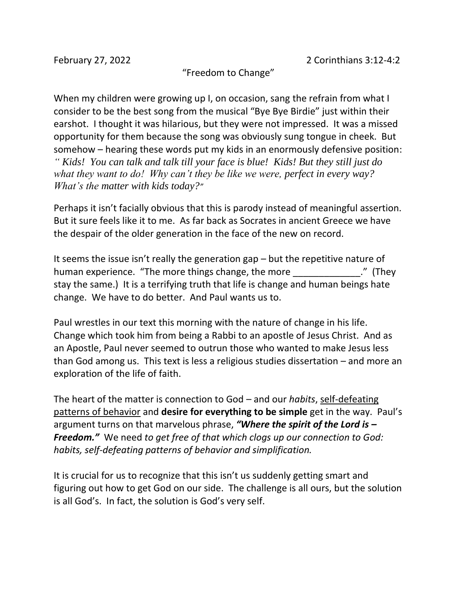"Freedom to Change"

When my children were growing up I, on occasion, sang the refrain from what I consider to be the best song from the musical "Bye Bye Birdie" just within their earshot. I thought it was hilarious, but they were not impressed. It was a missed opportunity for them because the song was obviously sung tongue in cheek. But somehow – hearing these words put my kids in an enormously defensive position: *" Kids! You can talk and talk till your face is blue! Kids! But they still just do what they want to do! Why can't they be like we were, perfect in every way? What's the matter with kids today?"*

Perhaps it isn't facially obvious that this is parody instead of meaningful assertion. But it sure feels like it to me. As far back as Socrates in ancient Greece we have the despair of the older generation in the face of the new on record.

It seems the issue isn't really the generation gap – but the repetitive nature of human experience. "The more things change, the more  $\blacksquare$ " (They stay the same.) It is a terrifying truth that life is change and human beings hate change. We have to do better. And Paul wants us to.

Paul wrestles in our text this morning with the nature of change in his life. Change which took him from being a Rabbi to an apostle of Jesus Christ. And as an Apostle, Paul never seemed to outrun those who wanted to make Jesus less than God among us. This text is less a religious studies dissertation – and more an exploration of the life of faith.

The heart of the matter is connection to God – and our *habits*, self-defeating patterns of behavior and **desire for everything to be simple** get in the way. Paul's argument turns on that marvelous phrase, *"Where the spirit of the Lord is – Freedom."* We need *to get free of that which clogs up our connection to God: habits, self-defeating patterns of behavior and simplification.*

It is crucial for us to recognize that this isn't us suddenly getting smart and figuring out how to get God on our side. The challenge is all ours, but the solution is all God's. In fact, the solution is God's very self.